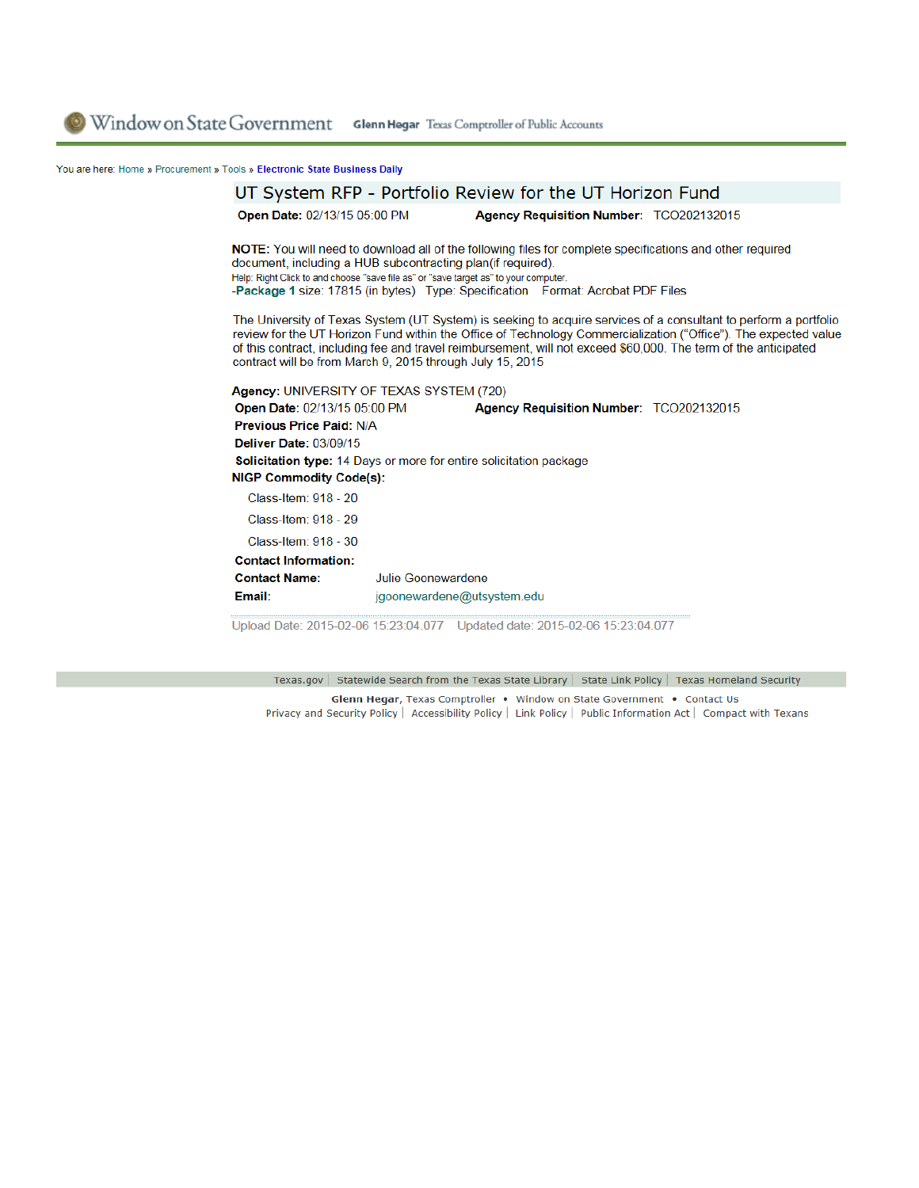Window on State Government Glenn Hegar Texas Comptroller of Public Accounts

## You are here: Home » Procurement » Tools » Electronic State Business Daily

|                                                                                                                                                     |                            | UT System RFP - Portfolio Review for the UT Horizon Fund                                                                                                                                     |                                                                                                                                                                                                                                                                                                                                                        |
|-----------------------------------------------------------------------------------------------------------------------------------------------------|----------------------------|----------------------------------------------------------------------------------------------------------------------------------------------------------------------------------------------|--------------------------------------------------------------------------------------------------------------------------------------------------------------------------------------------------------------------------------------------------------------------------------------------------------------------------------------------------------|
| <b>Open Date: 02/13/15 05:00 PM</b>                                                                                                                 |                            | Agency Requisition Number: TCO202132015                                                                                                                                                      |                                                                                                                                                                                                                                                                                                                                                        |
| document, including a HUB subcontracting plan(if required).<br>Help: Right Click to and choose "save file as" or "save target as" to your computer. |                            | NOTE: You will need to download all of the following files for complete specifications and other required<br>-Package 1 size: 17815 (in bytes) Type: Specification Format: Acrobat PDF Files |                                                                                                                                                                                                                                                                                                                                                        |
| contract will be from March 9, 2015 through July 15, 2015                                                                                           |                            |                                                                                                                                                                                              | The University of Texas System (UT System) is seeking to acquire services of a consultant to perform a portfolio<br>review for the UT Horizon Fund within the Office of Technology Commercialization ("Office"). The expected value<br>of this contract, including fee and travel reimbursement, will not exceed \$60,000. The term of the anticipated |
| Agency: UNIVERSITY OF TEXAS SYSTEM (720)                                                                                                            |                            |                                                                                                                                                                                              |                                                                                                                                                                                                                                                                                                                                                        |
| <b>Open Date: 02/13/15 05:00 PM</b>                                                                                                                 |                            | Agency Requisition Number: TCO202132015                                                                                                                                                      |                                                                                                                                                                                                                                                                                                                                                        |
| <b>Previous Price Paid: N/A</b>                                                                                                                     |                            |                                                                                                                                                                                              |                                                                                                                                                                                                                                                                                                                                                        |
| <b>Deliver Date: 03/09/15</b>                                                                                                                       |                            |                                                                                                                                                                                              |                                                                                                                                                                                                                                                                                                                                                        |
| <b>Solicitation type:</b> 14 Days or more for entire solicitation package                                                                           |                            |                                                                                                                                                                                              |                                                                                                                                                                                                                                                                                                                                                        |
| <b>NIGP Commodity Code(s):</b>                                                                                                                      |                            |                                                                                                                                                                                              |                                                                                                                                                                                                                                                                                                                                                        |
| Class-Item: 918 - 20                                                                                                                                |                            |                                                                                                                                                                                              |                                                                                                                                                                                                                                                                                                                                                        |
| Class-Item: 918 - 29                                                                                                                                |                            |                                                                                                                                                                                              |                                                                                                                                                                                                                                                                                                                                                        |
| Class-Item: 918 - 30                                                                                                                                |                            |                                                                                                                                                                                              |                                                                                                                                                                                                                                                                                                                                                        |
| <b>Contact Information:</b>                                                                                                                         |                            |                                                                                                                                                                                              |                                                                                                                                                                                                                                                                                                                                                        |
| <b>Contact Name:</b>                                                                                                                                | Julie Goonewardene         |                                                                                                                                                                                              |                                                                                                                                                                                                                                                                                                                                                        |
| Email:                                                                                                                                              | jgoonewardene@utsystem.edu |                                                                                                                                                                                              |                                                                                                                                                                                                                                                                                                                                                        |
|                                                                                                                                                     |                            |                                                                                                                                                                                              |                                                                                                                                                                                                                                                                                                                                                        |

Upload Date: 2015-02-06 15:23:04.077 Updated date: 2015-02-06 15:23:04.077

Texas.gov | Statewide Search from the Texas State Library | State Link Policy | Texas Homeland Security

Glenn Hegar, Texas Comptroller . Window on State Government . Contact Us Privacy and Security Policy | Accessibility Policy | Link Policy | Public Information Act | Compact with Texans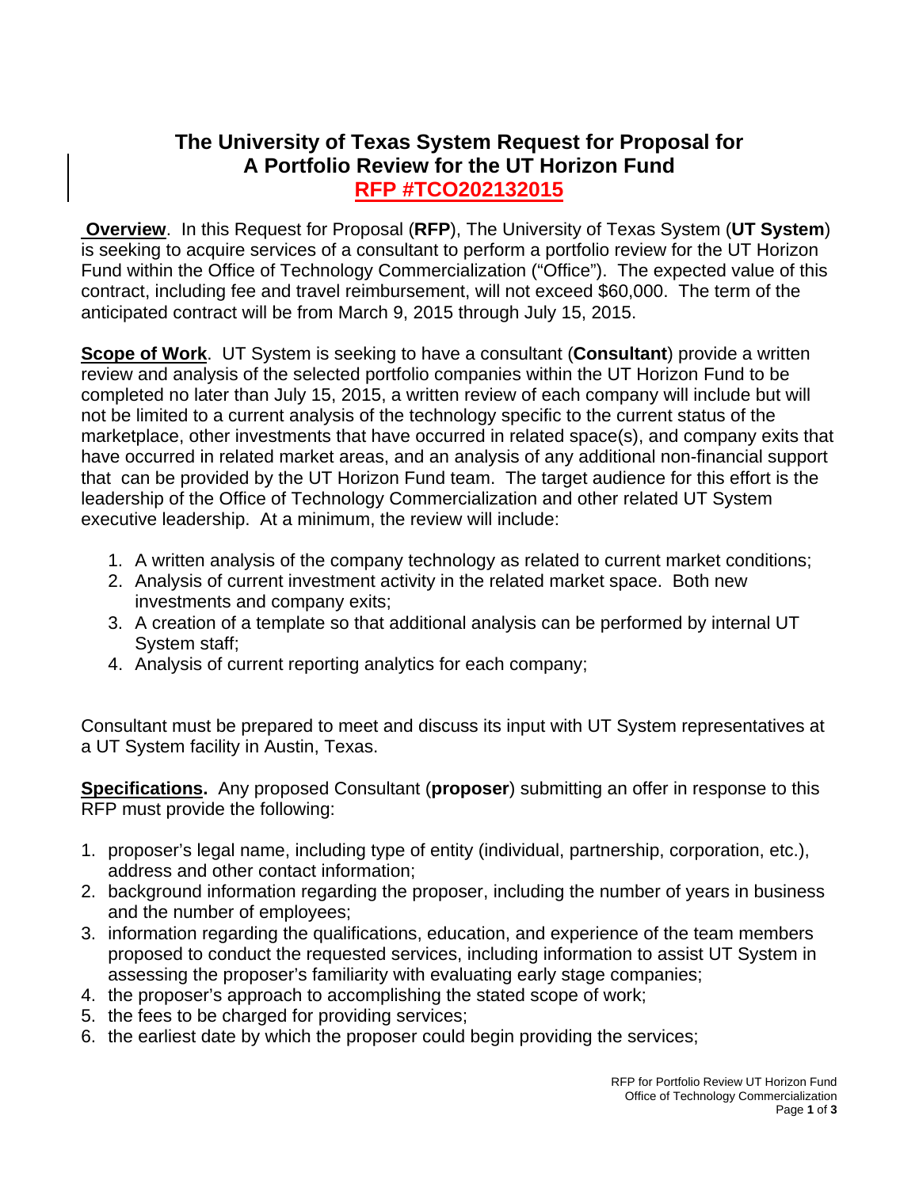## **The University of Texas System Request for Proposal for A Portfolio Review for the UT Horizon Fund RFP #TCO202132015**

 **Overview**. In this Request for Proposal (**RFP**), The University of Texas System (**UT System**) is seeking to acquire services of a consultant to perform a portfolio review for the UT Horizon Fund within the Office of Technology Commercialization ("Office"). The expected value of this contract, including fee and travel reimbursement, will not exceed \$60,000. The term of the anticipated contract will be from March 9, 2015 through July 15, 2015.

**Scope of Work**. UT System is seeking to have a consultant (**Consultant**) provide a written review and analysis of the selected portfolio companies within the UT Horizon Fund to be completed no later than July 15, 2015, a written review of each company will include but will not be limited to a current analysis of the technology specific to the current status of the marketplace, other investments that have occurred in related space(s), and company exits that have occurred in related market areas, and an analysis of any additional non-financial support that can be provided by the UT Horizon Fund team. The target audience for this effort is the leadership of the Office of Technology Commercialization and other related UT System executive leadership. At a minimum, the review will include:

- 1. A written analysis of the company technology as related to current market conditions;
- 2. Analysis of current investment activity in the related market space. Both new investments and company exits;
- 3. A creation of a template so that additional analysis can be performed by internal UT System staff;
- 4. Analysis of current reporting analytics for each company;

Consultant must be prepared to meet and discuss its input with UT System representatives at a UT System facility in Austin, Texas.

**Specifications.** Any proposed Consultant (**proposer**) submitting an offer in response to this RFP must provide the following:

- 1. proposer's legal name, including type of entity (individual, partnership, corporation, etc.), address and other contact information;
- 2. background information regarding the proposer, including the number of years in business and the number of employees;
- 3. information regarding the qualifications, education, and experience of the team members proposed to conduct the requested services, including information to assist UT System in assessing the proposer's familiarity with evaluating early stage companies;
- 4. the proposer's approach to accomplishing the stated scope of work;
- 5. the fees to be charged for providing services;
- 6. the earliest date by which the proposer could begin providing the services;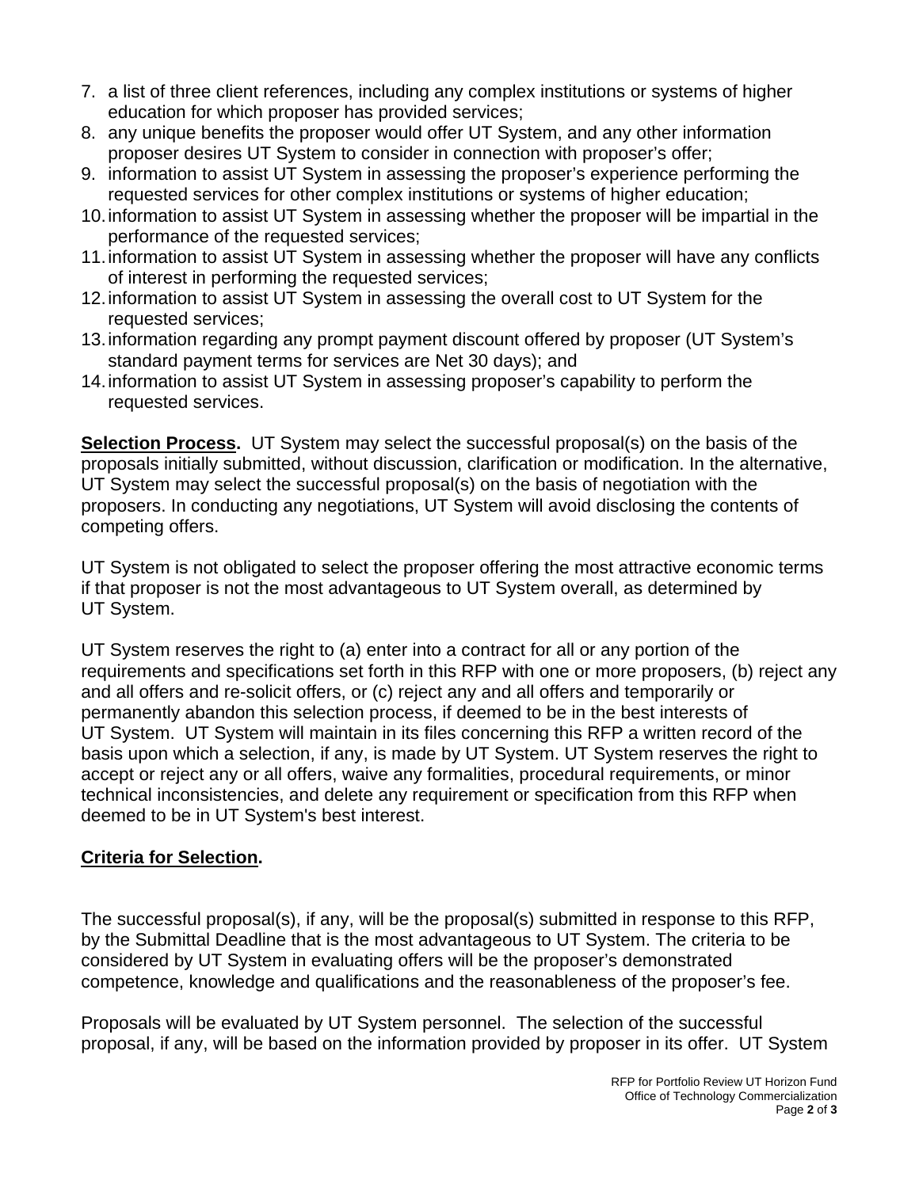- 7. a list of three client references, including any complex institutions or systems of higher education for which proposer has provided services;
- 8. any unique benefits the proposer would offer UT System, and any other information proposer desires UT System to consider in connection with proposer's offer;
- 9. information to assist UT System in assessing the proposer's experience performing the requested services for other complex institutions or systems of higher education;
- 10. information to assist UT System in assessing whether the proposer will be impartial in the performance of the requested services;
- 11. information to assist UT System in assessing whether the proposer will have any conflicts of interest in performing the requested services;
- 12. information to assist UT System in assessing the overall cost to UT System for the requested services;
- 13. information regarding any prompt payment discount offered by proposer (UT System's standard payment terms for services are Net 30 days); and
- 14. information to assist UT System in assessing proposer's capability to perform the requested services.

**Selection Process.** UT System may select the successful proposal(s) on the basis of the proposals initially submitted, without discussion, clarification or modification. In the alternative, UT System may select the successful proposal(s) on the basis of negotiation with the proposers. In conducting any negotiations, UT System will avoid disclosing the contents of competing offers.

UT System is not obligated to select the proposer offering the most attractive economic terms if that proposer is not the most advantageous to UT System overall, as determined by UT System.

UT System reserves the right to (a) enter into a contract for all or any portion of the requirements and specifications set forth in this RFP with one or more proposers, (b) reject any and all offers and re-solicit offers, or (c) reject any and all offers and temporarily or permanently abandon this selection process, if deemed to be in the best interests of UT System. UT System will maintain in its files concerning this RFP a written record of the basis upon which a selection, if any, is made by UT System. UT System reserves the right to accept or reject any or all offers, waive any formalities, procedural requirements, or minor technical inconsistencies, and delete any requirement or specification from this RFP when deemed to be in UT System's best interest.

## **Criteria for Selection.**

The successful proposal(s), if any, will be the proposal(s) submitted in response to this RFP, by the Submittal Deadline that is the most advantageous to UT System. The criteria to be considered by UT System in evaluating offers will be the proposer's demonstrated competence, knowledge and qualifications and the reasonableness of the proposer's fee.

Proposals will be evaluated by UT System personnel. The selection of the successful proposal, if any, will be based on the information provided by proposer in its offer. UT System